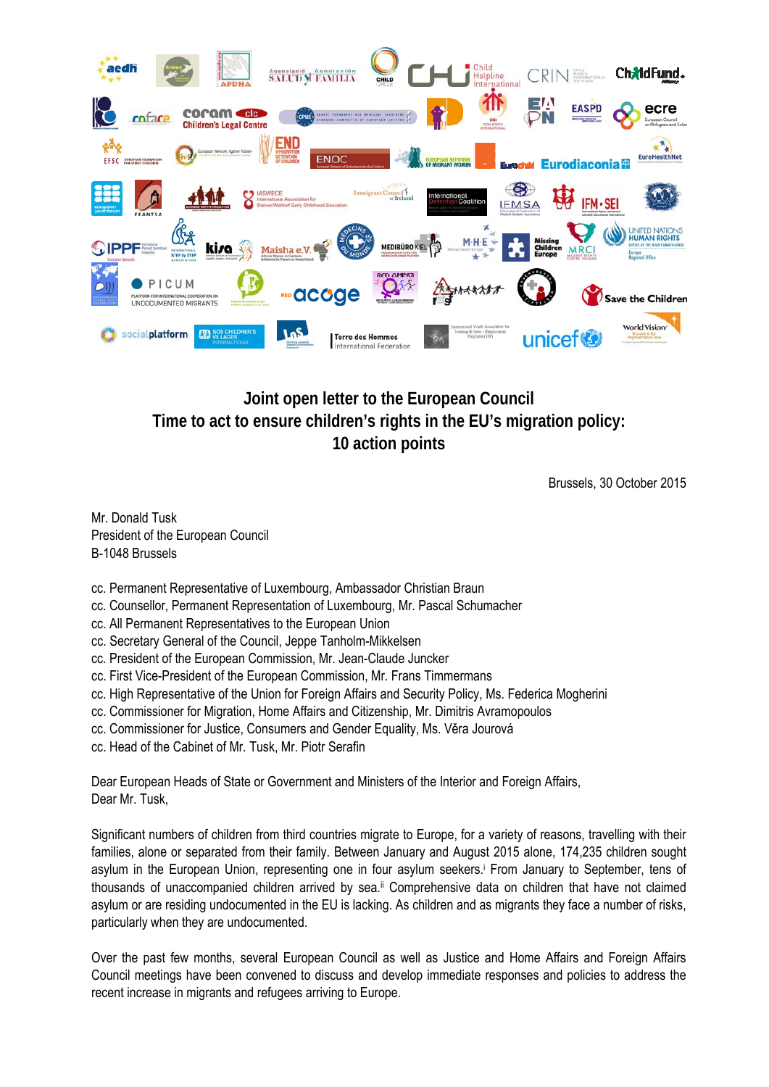

## **Joint open letter to the European Council Time to act to ensure children's rights in the EU's migration policy: 10 action points**

Brussels, 30 October 2015

Mr. Donald Tusk President of the European Council B-1048 Brussels

- cc. Permanent Representative of Luxembourg, Ambassador Christian Braun
- cc. Counsellor, Permanent Representation of Luxembourg, Mr. Pascal Schumacher
- cc. All Permanent Representatives to the European Union
- cc. Secretary General of the Council, Jeppe Tanholm-Mikkelsen
- cc. President of the European Commission, Mr. Jean-Claude Juncker
- cc. First Vice-President of the European Commission, Mr. Frans Timmermans
- cc. High Representative of the Union for Foreign Affairs and Security Policy, Ms. Federica Mogherini
- cc. Commissioner for Migration, Home Affairs and Citizenship, Mr. Dimitris Avramopoulos
- cc. Commissioner for Justice, Consumers and Gender Equality, Ms. Věra Jourová
- cc. Head of the Cabinet of Mr. Tusk, Mr. Piotr Serafin

Dear European Heads of State or Government and Ministers of the Interior and Foreign Affairs, Dear Mr. Tusk,

Significant numbers of children from third countries migrate to Europe, for a variety of reasons, travelling with their families, alone or separated from their family. Between January and August 2015 alone, 174,235 children sought asylum in the European Union, representing one in four asylum seekers.<sup>†</sup> From January to September, tens of thousands of unaccompanied children arrived by sea.ii Comprehensive data on children that have not claimed asylum or are residing undocumented in the EU is lacking. As children and as migrants they face a number of risks, particularly when they are undocumented.

Over the past few months, several European Council as well as Justice and Home Affairs and Foreign Affairs Council meetings have been convened to discuss and develop immediate responses and policies to address the recent increase in migrants and refugees arriving to Europe.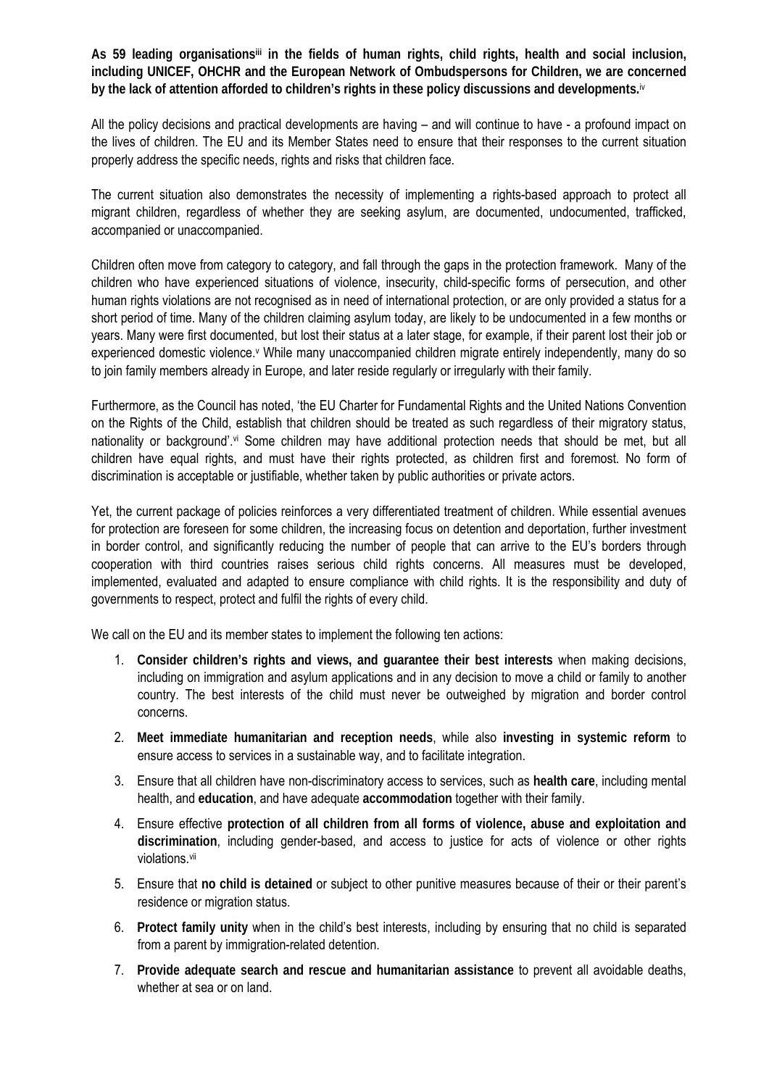As 59 leading organisations<sup>iii</sup> in the fields of human rights, child rights, health and social inclusion, **including UNICEF, OHCHR and the European Network of Ombudspersons for Children, we are concerned by the lack of attention afforded to children's rights in these policy discussions and developments.**iv

All the policy decisions and practical developments are having – and will continue to have - a profound impact on the lives of children. The EU and its Member States need to ensure that their responses to the current situation properly address the specific needs, rights and risks that children face.

The current situation also demonstrates the necessity of implementing a rights-based approach to protect all migrant children, regardless of whether they are seeking asylum, are documented, undocumented, trafficked, accompanied or unaccompanied.

Children often move from category to category, and fall through the gaps in the protection framework. Many of the children who have experienced situations of violence, insecurity, child-specific forms of persecution, and other human rights violations are not recognised as in need of international protection, or are only provided a status for a short period of time. Many of the children claiming asylum today, are likely to be undocumented in a few months or years. Many were first documented, but lost their status at a later stage, for example, if their parent lost their job or experienced domestic violence.<sup>v</sup> While many unaccompanied children migrate entirely independently, many do so to join family members already in Europe, and later reside regularly or irregularly with their family.

Furthermore, as the Council has noted, 'the EU Charter for Fundamental Rights and the United Nations Convention on the Rights of the Child, establish that children should be treated as such regardless of their migratory status, nationality or background'.<sup>vi</sup> Some children may have additional protection needs that should be met, but all children have equal rights, and must have their rights protected, as children first and foremost. No form of discrimination is acceptable or justifiable, whether taken by public authorities or private actors.

Yet, the current package of policies reinforces a very differentiated treatment of children. While essential avenues for protection are foreseen for some children, the increasing focus on detention and deportation, further investment in border control, and significantly reducing the number of people that can arrive to the EU's borders through cooperation with third countries raises serious child rights concerns. All measures must be developed, implemented, evaluated and adapted to ensure compliance with child rights. It is the responsibility and duty of governments to respect, protect and fulfil the rights of every child.

We call on the EU and its member states to implement the following ten actions:

- 1. **Consider children's rights and views, and guarantee their best interests** when making decisions, including on immigration and asylum applications and in any decision to move a child or family to another country. The best interests of the child must never be outweighed by migration and border control concerns.
- 2. **Meet immediate humanitarian and reception needs**, while also **investing in systemic reform** to ensure access to services in a sustainable way, and to facilitate integration.
- 3. Ensure that all children have non-discriminatory access to services, such as **health care**, including mental health, and **education**, and have adequate **accommodation** together with their family.
- 4. Ensure effective **protection of all children from all forms of violence, abuse and exploitation and discrimination**, including gender-based, and access to justice for acts of violence or other rights violations.vii
- 5. Ensure that **no child is detained** or subject to other punitive measures because of their or their parent's residence or migration status.
- 6. **Protect family unity** when in the child's best interests, including by ensuring that no child is separated from a parent by immigration-related detention.
- 7. **Provide adequate search and rescue and humanitarian assistance** to prevent all avoidable deaths, whether at sea or on land.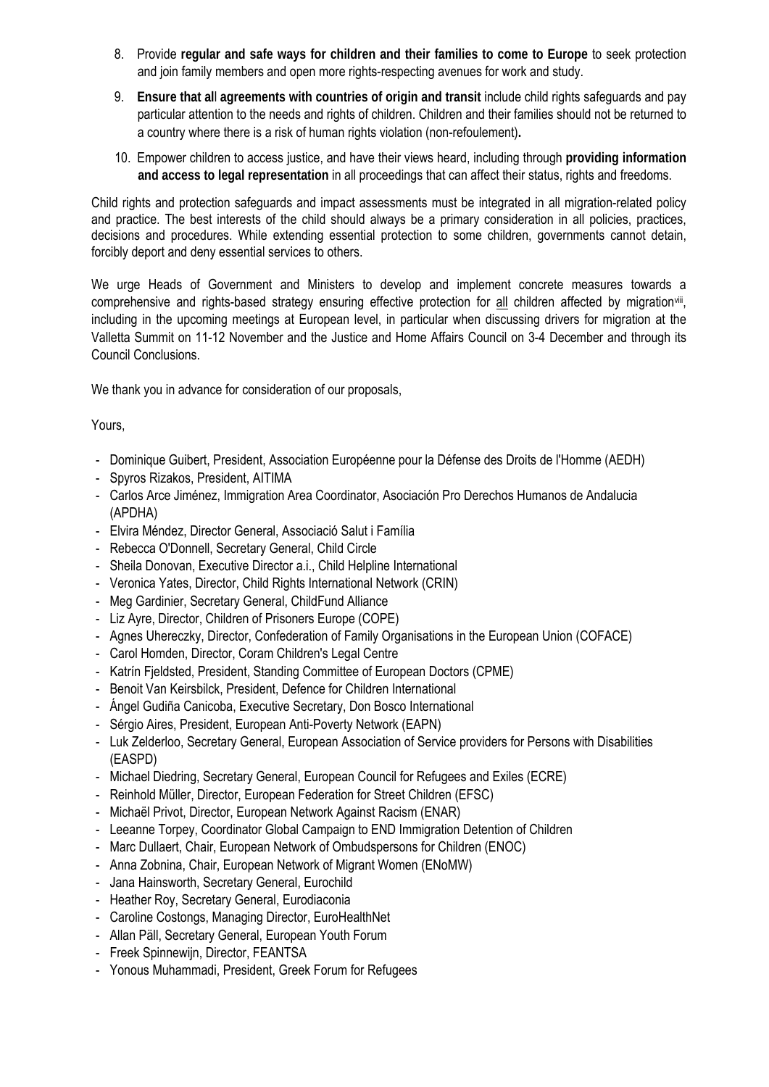- 8. Provide **regular and safe ways for children and their families to come to Europe** to seek protection and join family members and open more rights-respecting avenues for work and study.
- 9. **Ensure that al**l **agreements with countries of origin and transit** include child rights safeguards and pay particular attention to the needs and rights of children. Children and their families should not be returned to a country where there is a risk of human rights violation (non-refoulement)**.**
- 10. Empower children to access justice, and have their views heard, including through **providing information and access to legal representation** in all proceedings that can affect their status, rights and freedoms.

Child rights and protection safeguards and impact assessments must be integrated in all migration-related policy and practice. The best interests of the child should always be a primary consideration in all policies, practices, decisions and procedures. While extending essential protection to some children, governments cannot detain, forcibly deport and deny essential services to others.

We urge Heads of Government and Ministers to develop and implement concrete measures towards a comprehensive and rights-based strategy ensuring effective protection for all children affected by migrationvili, including in the upcoming meetings at European level, in particular when discussing drivers for migration at the Valletta Summit on 11-12 November and the Justice and Home Affairs Council on 3-4 December and through its Council Conclusions.

We thank you in advance for consideration of our proposals,

## Yours,

- Dominique Guibert, President, Association Européenne pour la Défense des Droits de l'Homme (AEDH)
- Spyros Rizakos, President, AITIMA
- Carlos Arce Jiménez, Immigration Area Coordinator, Asociación Pro Derechos Humanos de Andalucia (APDHA)
- Elvira Méndez, Director General, Associació Salut i Família
- Rebecca O'Donnell, Secretary General, Child Circle
- Sheila Donovan, Executive Director a.i., Child Helpline International
- Veronica Yates, Director, Child Rights International Network (CRIN)
- Meg Gardinier, Secretary General, ChildFund Alliance
- Liz Ayre, Director, Children of Prisoners Europe (COPE)
- Agnes Uhereczky, Director, Confederation of Family Organisations in the European Union (COFACE)
- Carol Homden, Director, Coram Children's Legal Centre
- Katrín Fjeldsted, President, Standing Committee of European Doctors (CPME)
- Benoit Van Keirsbilck, President, Defence for Children International
- Ángel Gudiña Canicoba, Executive Secretary, Don Bosco International
- Sérgio Aires, President, European Anti-Poverty Network (EAPN)
- Luk Zelderloo, Secretary General, European Association of Service providers for Persons with Disabilities (EASPD)
- Michael Diedring, Secretary General, European Council for Refugees and Exiles (ECRE)
- Reinhold Müller, Director, European Federation for Street Children (EFSC)
- Michaël Privot, Director, European Network Against Racism (ENAR)
- Leeanne Torpey, Coordinator Global Campaign to END Immigration Detention of Children
- Marc Dullaert, Chair, European Network of Ombudspersons for Children (ENOC)
- Anna Zobnina, Chair, European Network of Migrant Women (ENoMW)
- Jana Hainsworth, Secretary General, Eurochild
- Heather Roy, Secretary General, Eurodiaconia
- Caroline Costongs, Managing Director, EuroHealthNet
- Allan Päll, Secretary General, European Youth Forum
- Freek Spinnewijn, Director, FEANTSA
- Yonous Muhammadi, President, Greek Forum for Refugees